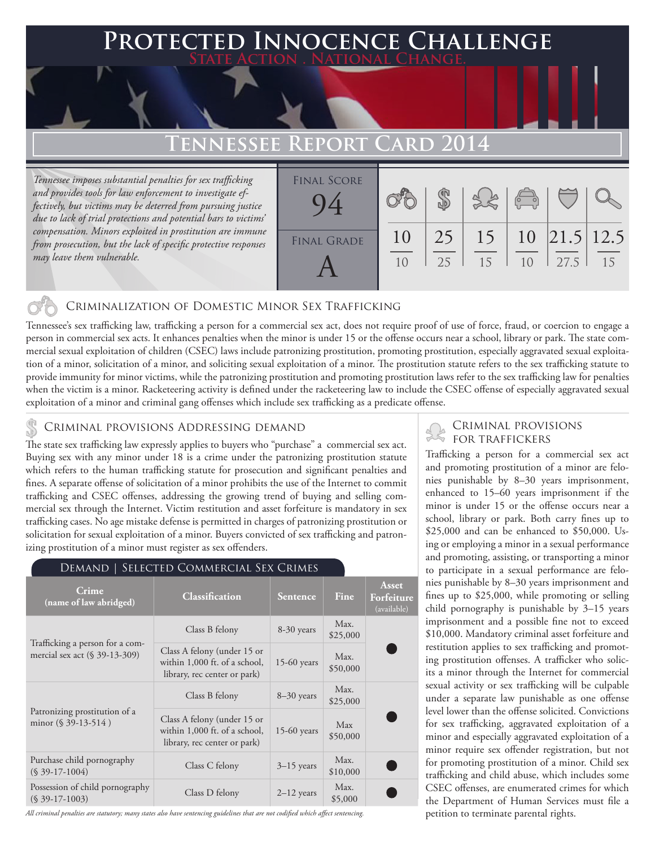### **PED INNOCENCE CHALLENGE State Action . National Change.**

## **Tennessee Report Card 2014**

*Tennessee imposes substantial penalties for sex trafficking and provides tools for law enforcement to investigate effectively, but victims may be deterred from pursuing justice due to lack of trial protections and potential bars to victims' compensation. Minors exploited in prostitution are immune from prosecution, but the lack of specific protective responses may leave them vulnerable.* 

| <b>FINAL SCORE</b> |                |    |    | $\begin{pmatrix} 0 & 0 \\ 0 & 0 \end{pmatrix}$ |                        |    |
|--------------------|----------------|----|----|------------------------------------------------|------------------------|----|
| <b>FINAL GRADE</b> | 10             | 25 | 15 |                                                | $10 \;  21.5  \; 12.5$ |    |
|                    | 1 <sub>0</sub> | 25 | 15 | 1 <sub>0</sub>                                 | 27.5                   | 15 |

### Criminalization of Domestic Minor Sex Trafficking

Tennessee's sex trafficking law, trafficking a person for a commercial sex act, does not require proof of use of force, fraud, or coercion to engage a person in commercial sex acts. It enhances penalties when the minor is under 15 or the offense occurs near a school, library or park. The state commercial sexual exploitation of children (CSEC) laws include patronizing prostitution, promoting prostitution, especially aggravated sexual exploitation of a minor, solicitation of a minor, and soliciting sexual exploitation of a minor. The prostitution statute refers to the sex trafficking statute to provide immunity for minor victims, while the patronizing prostitution and promoting prostitution laws refer to the sex trafficking law for penalties when the victim is a minor. Racketeering activity is defined under the racketeering law to include the CSEC offense of especially aggravated sexual exploitation of a minor and criminal gang offenses which include sex trafficking as a predicate offense.

### CRIMINAL PROVISIONS ADDRESSING DEMAND

The state sex trafficking law expressly applies to buyers who "purchase" a commercial sex act. Buying sex with any minor under 18 is a crime under the patronizing prostitution statute which refers to the human trafficking statute for prosecution and significant penalties and fines. A separate offense of solicitation of a minor prohibits the use of the Internet to commit trafficking and CSEC offenses, addressing the growing trend of buying and selling commercial sex through the Internet. Victim restitution and asset forfeiture is mandatory in sex trafficking cases. No age mistake defense is permitted in charges of patronizing prostitution or solicitation for sexual exploitation of a minor. Buyers convicted of sex trafficking and patronizing prostitution of a minor must register as sex offenders.

| Demand   Selected Commercial Sex Crimes                             |                                                                                              |                 |                  |                                    |  |  |  |  |
|---------------------------------------------------------------------|----------------------------------------------------------------------------------------------|-----------------|------------------|------------------------------------|--|--|--|--|
| Crime<br>(name of law abridged)                                     | <b>Classification</b>                                                                        | <b>Sentence</b> | Fine             | Asset<br>Forfeiture<br>(available) |  |  |  |  |
| Trafficking a person for a com-<br>mercial sex act $(\S 39-13-309)$ | Class B felony                                                                               | 8-30 years      | Max.<br>\$25,000 |                                    |  |  |  |  |
|                                                                     | Class A felony (under 15 or<br>within 1,000 ft. of a school,<br>library, rec center or park) | $15-60$ years   | Max.<br>\$50,000 |                                    |  |  |  |  |
| Patronizing prostitution of a<br>minor $(\S 39-13-514)$             | Class B felony                                                                               | $8-30$ years    | Max.<br>\$25,000 |                                    |  |  |  |  |
|                                                                     | Class A felony (under 15 or<br>within 1,000 ft. of a school,<br>library, rec center or park) | $15-60$ years   | Max<br>\$50,000  |                                    |  |  |  |  |
| Purchase child pornography<br>$(S$ 39-17-1004)                      | Class C felony                                                                               | $3-15$ years    | Max.<br>\$10,000 |                                    |  |  |  |  |
| Possession of child pornography<br>$(S$ 39-17-1003)                 | Class D felony                                                                               | $2-12$ years    | Max.<br>\$5,000  |                                    |  |  |  |  |

*All criminal penalties are statutory; many states also have sentencing guidelines that are not codified which affect sentencing.* 

# Criminal provisions

Trafficking a person for a commercial sex act and promoting prostitution of a minor are felonies punishable by 8–30 years imprisonment, enhanced to 15–60 years imprisonment if the minor is under 15 or the offense occurs near a school, library or park. Both carry fines up to \$25,000 and can be enhanced to \$50,000. Using or employing a minor in a sexual performance and promoting, assisting, or transporting a minor to participate in a sexual performance are felonies punishable by 8–30 years imprisonment and fines up to \$25,000, while promoting or selling child pornography is punishable by 3–15 years imprisonment and a possible fine not to exceed \$10,000. Mandatory criminal asset forfeiture and restitution applies to sex trafficking and promoting prostitution offenses. A trafficker who solicits a minor through the Internet for commercial sexual activity or sex trafficking will be culpable under a separate law punishable as one offense level lower than the offense solicited. Convictions for sex trafficking, aggravated exploitation of a minor and especially aggravated exploitation of a minor require sex offender registration, but not for promoting prostitution of a minor. Child sex trafficking and child abuse, which includes some CSEC offenses, are enumerated crimes for which the Department of Human Services must file a petition to terminate parental rights.